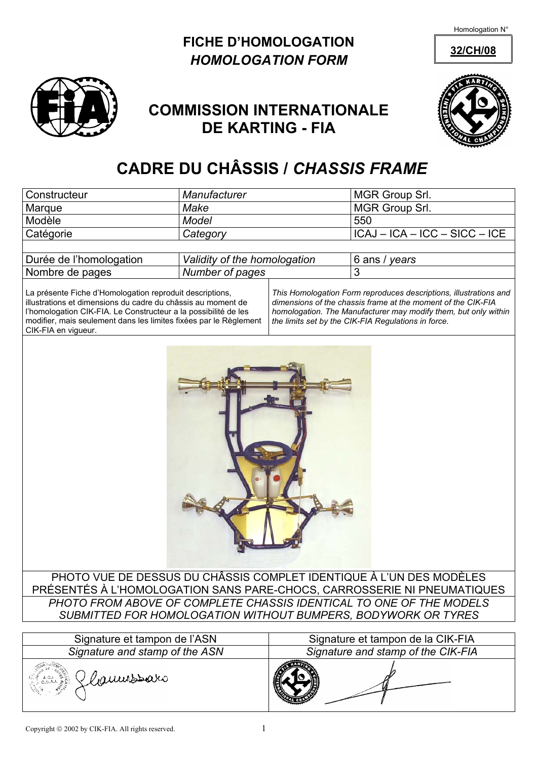Homologation N°

## **FICHE D'HOMOLOGATION** 32/CH/08 *HOMOLOGATION FORM*



## **COMMISSION INTERNATIONALE DE KARTING - FIA**



## **CADRE DU CHÂSSIS /** *CHASSIS FRAME*

| Constructeur                                                                                                                                                                                                                                                                            | Manufacturer                 |                                                                                                                                                                                                                                                             | MGR Group Srl.                    |  |  |  |  |
|-----------------------------------------------------------------------------------------------------------------------------------------------------------------------------------------------------------------------------------------------------------------------------------------|------------------------------|-------------------------------------------------------------------------------------------------------------------------------------------------------------------------------------------------------------------------------------------------------------|-----------------------------------|--|--|--|--|
| Marque                                                                                                                                                                                                                                                                                  | Make                         |                                                                                                                                                                                                                                                             | MGR Group Srl.                    |  |  |  |  |
| Modèle                                                                                                                                                                                                                                                                                  | <b>Model</b>                 |                                                                                                                                                                                                                                                             | 550                               |  |  |  |  |
| Catégorie                                                                                                                                                                                                                                                                               | Category                     |                                                                                                                                                                                                                                                             | $ICAJ - ICA - ICC - SICC - ICE$   |  |  |  |  |
|                                                                                                                                                                                                                                                                                         |                              |                                                                                                                                                                                                                                                             |                                   |  |  |  |  |
| Durée de l'homologation                                                                                                                                                                                                                                                                 | Validity of the homologation |                                                                                                                                                                                                                                                             | 6 ans / years                     |  |  |  |  |
| Nombre de pages                                                                                                                                                                                                                                                                         | Number of pages              |                                                                                                                                                                                                                                                             | 3                                 |  |  |  |  |
| La présente Fiche d'Homologation reproduit descriptions,<br>illustrations et dimensions du cadre du châssis au moment de<br>l'homologation CIK-FIA. Le Constructeur a la possibilité de les<br>modifier, mais seulement dans les limites fixées par le Règlement<br>CIK-FIA en vigueur. |                              | This Homologation Form reproduces descriptions, illustrations and<br>dimensions of the chassis frame at the moment of the CIK-FIA<br>homologation. The Manufacturer may modify them, but only within<br>the limits set by the CIK-FIA Regulations in force. |                                   |  |  |  |  |
| PHOTO VUE DE DESSUS DU CHÂSSIS COMPLET IDENTIQUE À L'UN DES MODÈLES                                                                                                                                                                                                                     |                              |                                                                                                                                                                                                                                                             |                                   |  |  |  |  |
| PRÉSENTÉS À L'HOMOLOGATION SANS PARE-CHOCS, CARROSSERIE NI PNEUMATIQUES                                                                                                                                                                                                                 |                              |                                                                                                                                                                                                                                                             |                                   |  |  |  |  |
| PHOTO FROM ABOVE OF COMPLETE CHASSIS IDENTICAL TO ONE OF THE MODELS                                                                                                                                                                                                                     |                              |                                                                                                                                                                                                                                                             |                                   |  |  |  |  |
| SUBMITTED FOR HOMOLOGATION WITHOUT BUMPERS, BODYWORK OR TYRES                                                                                                                                                                                                                           |                              |                                                                                                                                                                                                                                                             |                                   |  |  |  |  |
|                                                                                                                                                                                                                                                                                         |                              |                                                                                                                                                                                                                                                             |                                   |  |  |  |  |
| Signature et tampon de l'ASN                                                                                                                                                                                                                                                            |                              |                                                                                                                                                                                                                                                             | Signature et tampon de la CIK-FIA |  |  |  |  |
| Signature and stamp of the ASN                                                                                                                                                                                                                                                          |                              | Signature and stamp of the CIK-FIA                                                                                                                                                                                                                          |                                   |  |  |  |  |



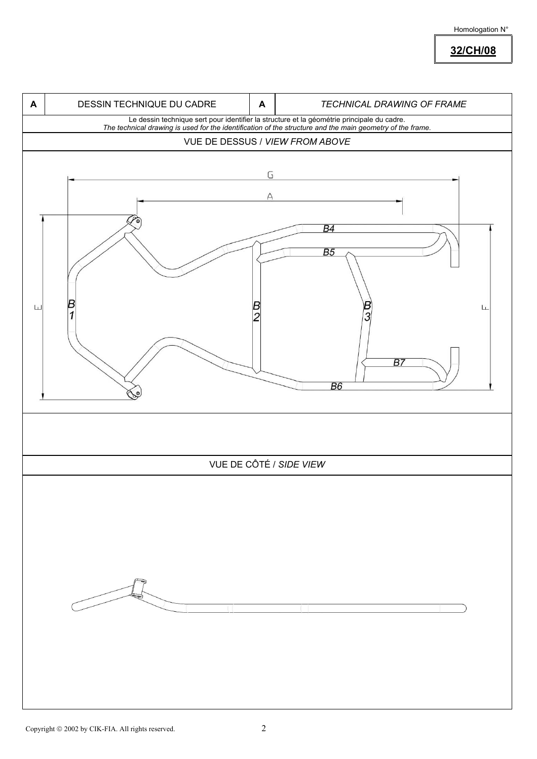Homologation N°

**32/CH/08**